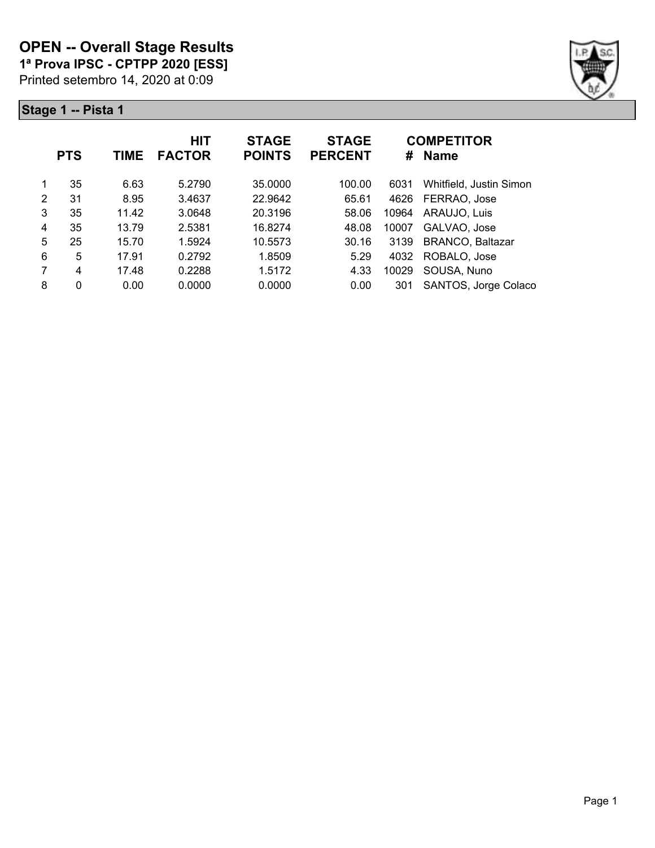**1ª Prova IPSC - CPTPP 2020 [ESS]**

Printed setembro 14, 2020 at 0:09



|   | <b>PTS</b>     | TIME  | <b>HIT</b><br><b>FACTOR</b> | <b>STAGE</b><br><b>POINTS</b> | <b>STAGE</b><br><b>PERCENT</b> | #     | <b>COMPETITOR</b><br><b>Name</b> |
|---|----------------|-------|-----------------------------|-------------------------------|--------------------------------|-------|----------------------------------|
|   | 35             | 6.63  | 5.2790                      | 35,0000                       | 100.00                         | 6031  | Whitfield, Justin Simon          |
| 2 | 31             | 8.95  | 3.4637                      | 22.9642                       | 65.61                          | 4626  | FERRAO, Jose                     |
| 3 | 35             | 11.42 | 3.0648                      | 20.3196                       | 58.06                          | 10964 | ARAUJO, Luis                     |
| 4 | 35             | 13.79 | 2.5381                      | 16.8274                       | 48.08                          | 10007 | GALVAO, Jose                     |
| 5 | 25             | 15.70 | 1.5924                      | 10.5573                       | 30.16                          | 3139  | <b>BRANCO, Baltazar</b>          |
| 6 | 5              | 17.91 | 0.2792                      | 1.8509                        | 5.29                           | 4032  | ROBALO, Jose                     |
| 7 | $\overline{4}$ | 17.48 | 0.2288                      | 1.5172                        | 4.33                           | 10029 | SOUSA, Nuno                      |
| 8 | $\mathbf 0$    | 0.00  | 0.0000                      | 0.0000                        | 0.00                           | 301   | SANTOS, Jorge Colaco             |
|   |                |       |                             |                               |                                |       |                                  |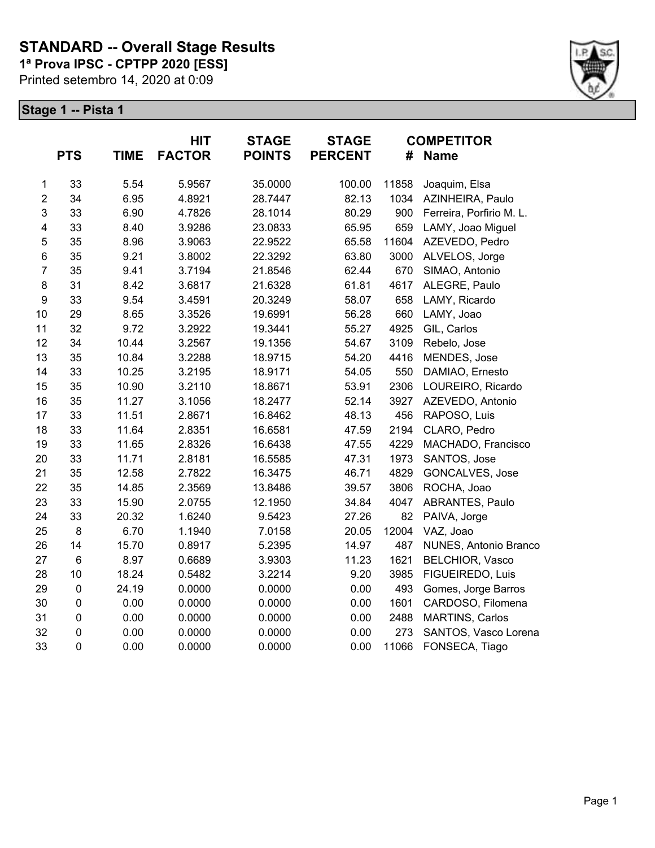# **STANDARD -- Overall Stage Results**

**1ª Prova IPSC - CPTPP 2020 [ESS]**

Printed setembro 14, 2020 at 0:09



|                         | <b>PTS</b> | <b>TIME</b> | <b>HIT</b><br><b>FACTOR</b> | <b>STAGE</b><br><b>POINTS</b> | <b>STAGE</b><br><b>PERCENT</b> | #     | <b>COMPETITOR</b><br><b>Name</b> |
|-------------------------|------------|-------------|-----------------------------|-------------------------------|--------------------------------|-------|----------------------------------|
| $\mathbf{1}$            | 33         | 5.54        | 5.9567                      | 35.0000                       | 100.00                         | 11858 | Joaquim, Elsa                    |
| $\overline{2}$          | 34         | 6.95        | 4.8921                      | 28.7447                       | 82.13                          | 1034  | AZINHEIRA, Paulo                 |
| 3                       | 33         | 6.90        | 4.7826                      | 28.1014                       | 80.29                          | 900   | Ferreira, Porfirio M. L.         |
| $\overline{\mathbf{4}}$ | 33         | 8.40        | 3.9286                      | 23.0833                       | 65.95                          | 659   | LAMY, Joao Miguel                |
| 5                       | 35         | 8.96        | 3.9063                      | 22.9522                       | 65.58                          | 11604 | AZEVEDO, Pedro                   |
| $\,$ 6 $\,$             | 35         | 9.21        | 3.8002                      | 22.3292                       | 63.80                          | 3000  | ALVELOS, Jorge                   |
| $\overline{7}$          | 35         | 9.41        | 3.7194                      | 21.8546                       | 62.44                          | 670   | SIMAO, Antonio                   |
| 8                       | 31         | 8.42        | 3.6817                      | 21.6328                       | 61.81                          | 4617  | ALEGRE, Paulo                    |
| $\boldsymbol{9}$        | 33         | 9.54        | 3.4591                      | 20.3249                       | 58.07                          | 658   | LAMY, Ricardo                    |
| 10                      | 29         | 8.65        | 3.3526                      | 19.6991                       | 56.28                          | 660   | LAMY, Joao                       |
| 11                      | 32         | 9.72        | 3.2922                      | 19.3441                       | 55.27                          | 4925  | GIL, Carlos                      |
| 12                      | 34         | 10.44       | 3.2567                      | 19.1356                       | 54.67                          | 3109  | Rebelo, Jose                     |
| 13                      | 35         | 10.84       | 3.2288                      | 18.9715                       | 54.20                          | 4416  | MENDES, Jose                     |
| 14                      | 33         | 10.25       | 3.2195                      | 18.9171                       | 54.05                          | 550   | DAMIAO, Ernesto                  |
| 15                      | 35         | 10.90       | 3.2110                      | 18.8671                       | 53.91                          | 2306  | LOUREIRO, Ricardo                |
| 16                      | 35         | 11.27       | 3.1056                      | 18.2477                       | 52.14                          | 3927  | AZEVEDO, Antonio                 |
| 17                      | 33         | 11.51       | 2.8671                      | 16.8462                       | 48.13                          | 456   | RAPOSO, Luis                     |
| 18                      | 33         | 11.64       | 2.8351                      | 16.6581                       | 47.59                          | 2194  | CLARO, Pedro                     |
| 19                      | 33         | 11.65       | 2.8326                      | 16.6438                       | 47.55                          | 4229  | MACHADO, Francisco               |
| 20                      | 33         | 11.71       | 2.8181                      | 16.5585                       | 47.31                          | 1973  | SANTOS, Jose                     |
| 21                      | 35         | 12.58       | 2.7822                      | 16.3475                       | 46.71                          | 4829  | GONCALVES, Jose                  |
| 22                      | 35         | 14.85       | 2.3569                      | 13.8486                       | 39.57                          | 3806  | ROCHA, Joao                      |
| 23                      | 33         | 15.90       | 2.0755                      | 12.1950                       | 34.84                          | 4047  | ABRANTES, Paulo                  |
| 24                      | 33         | 20.32       | 1.6240                      | 9.5423                        | 27.26                          | 82    | PAIVA, Jorge                     |
| 25                      | 8          | 6.70        | 1.1940                      | 7.0158                        | 20.05                          | 12004 | VAZ, Joao                        |
| 26                      | 14         | 15.70       | 0.8917                      | 5.2395                        | 14.97                          | 487   | NUNES, Antonio Branco            |
| 27                      | 6          | 8.97        | 0.6689                      | 3.9303                        | 11.23                          | 1621  | <b>BELCHIOR, Vasco</b>           |
| 28                      | 10         | 18.24       | 0.5482                      | 3.2214                        | 9.20                           | 3985  | FIGUEIREDO, Luis                 |
| 29                      | $\pmb{0}$  | 24.19       | 0.0000                      | 0.0000                        | 0.00                           | 493   | Gomes, Jorge Barros              |
| 30                      | $\pmb{0}$  | 0.00        | 0.0000                      | 0.0000                        | 0.00                           | 1601  | CARDOSO, Filomena                |
| 31                      | 0          | 0.00        | 0.0000                      | 0.0000                        | 0.00                           | 2488  | <b>MARTINS, Carlos</b>           |
| 32                      | $\pmb{0}$  | 0.00        | 0.0000                      | 0.0000                        | 0.00                           | 273   | SANTOS, Vasco Lorena             |
| 33                      | $\pmb{0}$  | 0.00        | 0.0000                      | 0.0000                        | 0.00                           | 11066 | FONSECA, Tiago                   |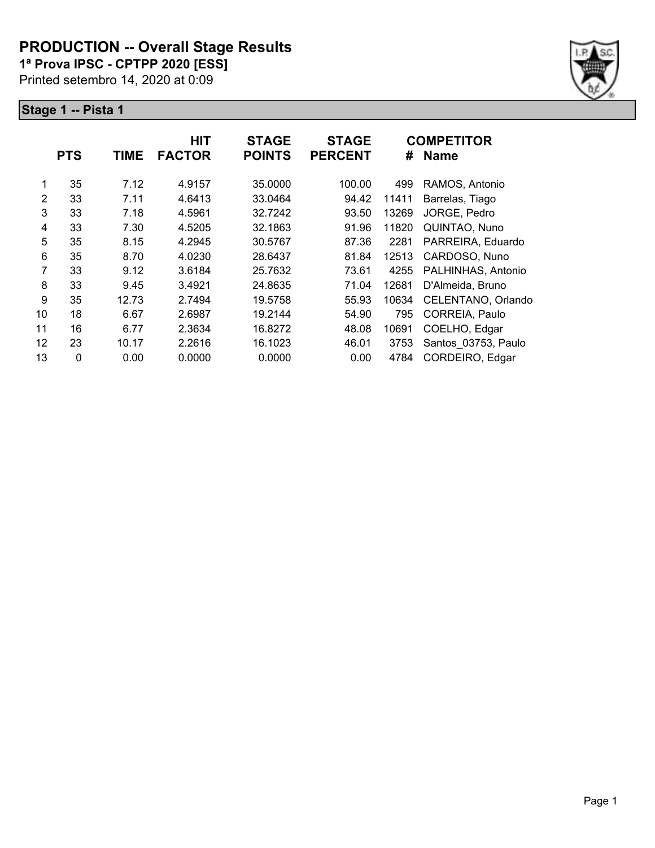#### **PRODUCTION -- Overall Stage Results**

**1ª Prova IPSC - CPTPP 2020 [ESS]**

Printed setembro 14, 2020 at 0:09



|                |            |             | <b>HIT</b>    | <b>STAGE</b>  | <b>STAGE</b>   |       | <b>COMPETITOR</b>   |
|----------------|------------|-------------|---------------|---------------|----------------|-------|---------------------|
|                | <b>PTS</b> | <b>TIME</b> | <b>FACTOR</b> | <b>POINTS</b> | <b>PERCENT</b> | #     | <b>Name</b>         |
| 1              | 35         | 7.12        | 4.9157        | 35.0000       | 100.00         | 499   | RAMOS, Antonio      |
| $\overline{2}$ | 33         | 7.11        | 4.6413        | 33.0464       | 94.42          | 11411 | Barrelas, Tiago     |
| 3              | 33         | 7.18        | 4.5961        | 32.7242       | 93.50          | 13269 | JORGE, Pedro        |
| 4              | 33         | 7.30        | 4.5205        | 32.1863       | 91.96          | 11820 | QUINTAO, Nuno       |
| 5              | 35         | 8.15        | 4.2945        | 30.5767       | 87.36          | 2281  | PARREIRA, Eduardo   |
| 6              | 35         | 8.70        | 4.0230        | 28.6437       | 81.84          | 12513 | CARDOSO, Nuno       |
| 7              | 33         | 9.12        | 3.6184        | 25.7632       | 73.61          | 4255  | PALHINHAS, Antonio  |
| 8              | 33         | 9.45        | 3.4921        | 24.8635       | 71.04          | 12681 | D'Almeida, Bruno    |
| 9              | 35         | 12.73       | 2.7494        | 19.5758       | 55.93          | 10634 | CELENTANO, Orlando  |
| 10             | 18         | 6.67        | 2.6987        | 19.2144       | 54.90          | 795   | CORREIA, Paulo      |
| 11             | 16         | 6.77        | 2.3634        | 16.8272       | 48.08          | 10691 | COELHO, Edgar       |
| 12             | 23         | 10.17       | 2.2616        | 16.1023       | 46.01          | 3753  | Santos 03753, Paulo |
| 13             | $\Omega$   | 0.00        | 0.0000        | 0.0000        | 0.00           | 4784  | CORDEIRO, Edgar     |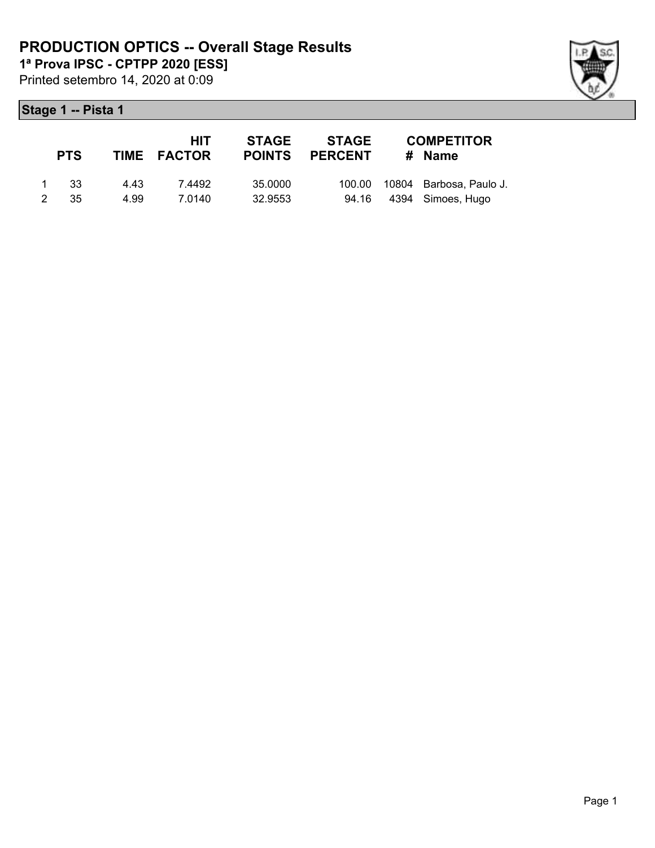Printed setembro 14, 2020 at 0:09 **1ª Prova IPSC - CPTPP 2020 [ESS]**

|                | <b>PTS</b> |       | HIT<br>TIME FACTOR | <b>STAGE</b><br><b>POINTS</b> | STAGE<br><b>PERCENT</b> | <b>COMPETITOR</b><br># Name    |
|----------------|------------|-------|--------------------|-------------------------------|-------------------------|--------------------------------|
| 1              | - 33       | 4 4 3 | 7.4492             | 35.0000                       |                         | 100.00 10804 Barbosa, Paulo J. |
| $\overline{2}$ | .35        | 4.99  | 7.0140             | 32.9553                       |                         | 94.16 4394 Simoes, Hugo        |

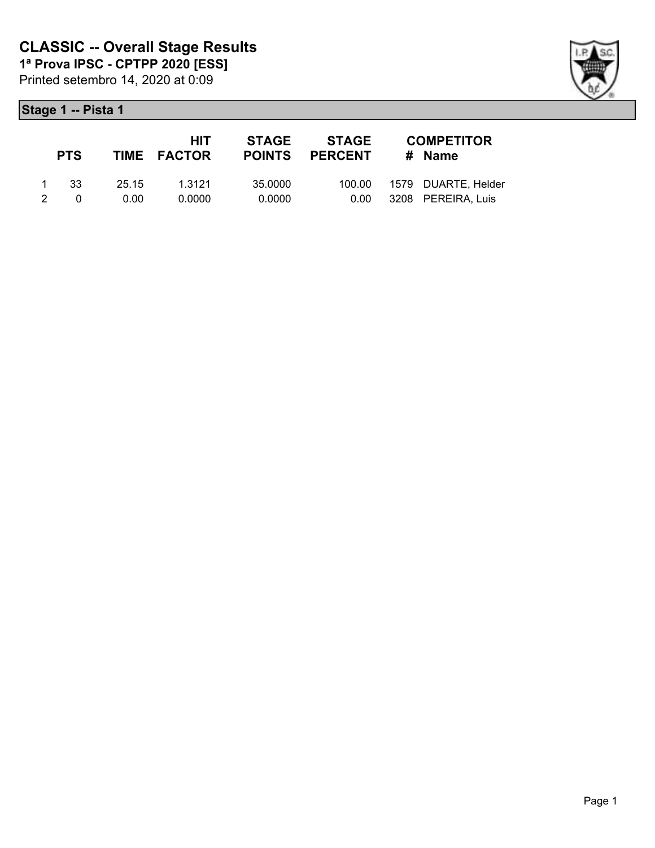|               | <b>PTS</b> |       | <b>HIT</b><br>TIME FACTOR | STAGE   | STAGE<br><b>POINTS PERCENT</b> | <b>COMPETITOR</b><br># Name |
|---------------|------------|-------|---------------------------|---------|--------------------------------|-----------------------------|
|               | -33        | 25.15 | 1.3121                    | 35.0000 |                                |                             |
| $\mathcal{P}$ | $\Omega$   | 0.00  | 0.0000                    | 0.0000  | 0.00                           | 3208 PEREIRA, Luis          |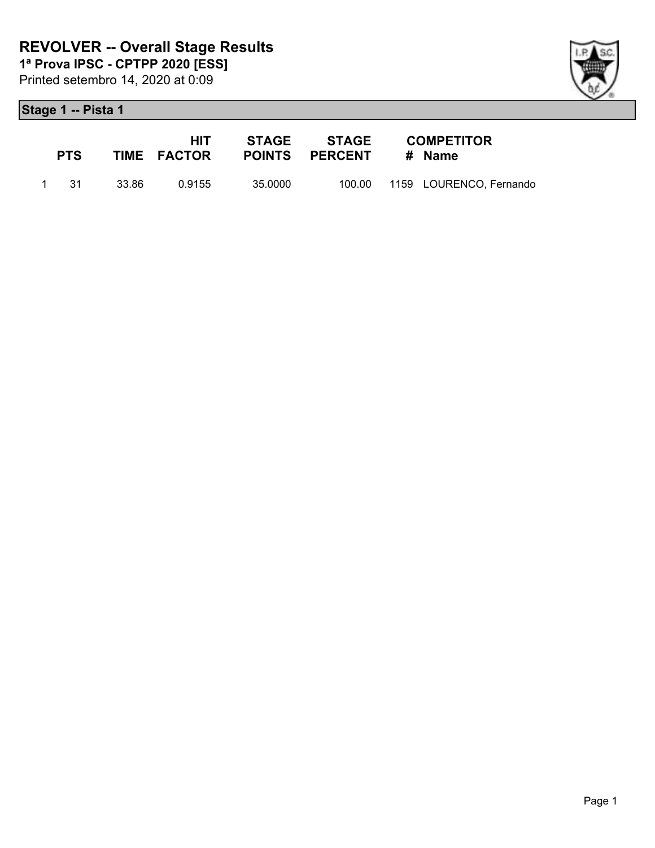



| <b>PTS</b> |         | HIT -<br><b>TIME FACTOR</b> |         | <b>STAGE STAGE</b><br>POINTS PERCENT # Name | <b>COMPETITOR</b>              |
|------------|---------|-----------------------------|---------|---------------------------------------------|--------------------------------|
| 1 31       | - 33.86 | 0.9155                      | 35.0000 |                                             | 100.00 1159 LOURENCO, Fernando |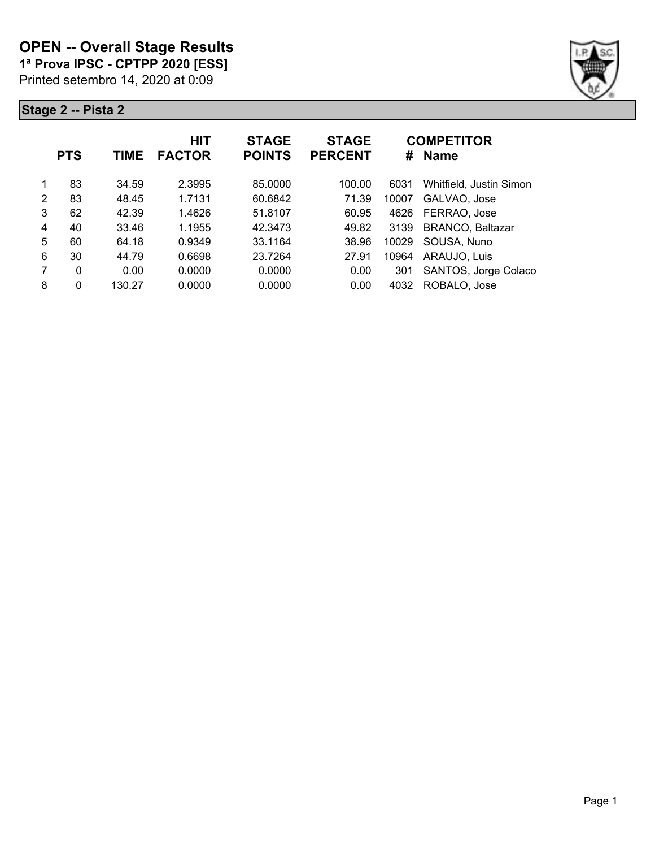#### **OPEN -- Overall Stage Results**

**1ª Prova IPSC - CPTPP 2020 [ESS]**

Printed setembro 14, 2020 at 0:09



|   | <b>PTS</b> | TIME   | HIT<br><b>FACTOR</b> | <b>STAGE</b><br><b>POINTS</b> | <b>STAGE</b><br><b>PERCENT</b> |       | <b>COMPETITOR</b><br># Name |
|---|------------|--------|----------------------|-------------------------------|--------------------------------|-------|-----------------------------|
|   | 83         | 34.59  | 2.3995               | 85,0000                       | 100.00                         | 6031  | Whitfield, Justin Simon     |
| 2 | 83         | 48.45  | 1.7131               | 60.6842                       | 71.39                          | 10007 | GALVAO, Jose                |
| 3 | 62         | 42.39  | 1.4626               | 51.8107                       | 60.95                          | 4626  | FERRAO, Jose                |
| 4 | 40         | 33.46  | 1.1955               | 42.3473                       | 49.82                          | 3139  | <b>BRANCO, Baltazar</b>     |
| 5 | 60         | 64.18  | 0.9349               | 33.1164                       | 38.96                          | 10029 | SOUSA, Nuno                 |
| 6 | 30         | 44.79  | 0.6698               | 23.7264                       | 27.91                          | 10964 | ARAUJO, Luis                |
| 7 | 0          | 0.00   | 0.0000               | 0.0000                        | 0.00                           | 301   | SANTOS, Jorge Colaco        |
| 8 | 0          | 130.27 | 0.0000               | 0.0000                        | 0.00                           | 4032  | ROBALO, Jose                |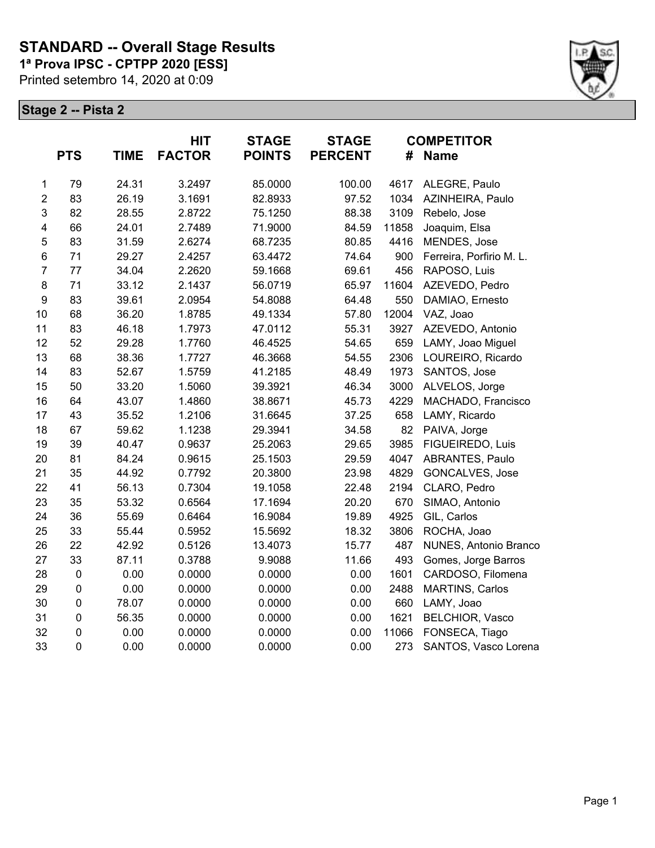# **STANDARD -- Overall Stage Results**

**1ª Prova IPSC - CPTPP 2020 [ESS]**

Printed setembro 14, 2020 at 0:09



|                         | <b>PTS</b> | <b>TIME</b> | <b>HIT</b><br><b>FACTOR</b> | <b>STAGE</b><br><b>POINTS</b> | <b>STAGE</b><br><b>PERCENT</b> | #     | <b>COMPETITOR</b><br><b>Name</b> |
|-------------------------|------------|-------------|-----------------------------|-------------------------------|--------------------------------|-------|----------------------------------|
| $\mathbf{1}$            | 79         | 24.31       | 3.2497                      | 85.0000                       | 100.00                         | 4617  | ALEGRE, Paulo                    |
| $\overline{2}$          | 83         | 26.19       | 3.1691                      | 82.8933                       | 97.52                          | 1034  | AZINHEIRA, Paulo                 |
| 3                       | 82         | 28.55       | 2.8722                      | 75.1250                       | 88.38                          | 3109  | Rebelo, Jose                     |
| $\overline{\mathbf{4}}$ | 66         | 24.01       | 2.7489                      | 71.9000                       | 84.59                          | 11858 | Joaquim, Elsa                    |
| 5                       | 83         | 31.59       | 2.6274                      | 68.7235                       | 80.85                          | 4416  | MENDES, Jose                     |
| $\,6$                   | 71         | 29.27       | 2.4257                      | 63.4472                       | 74.64                          | 900   | Ferreira, Porfirio M. L.         |
| $\overline{7}$          | 77         | 34.04       | 2.2620                      | 59.1668                       | 69.61                          | 456   | RAPOSO, Luis                     |
| 8                       | 71         | 33.12       | 2.1437                      | 56.0719                       | 65.97                          | 11604 | AZEVEDO, Pedro                   |
| $\boldsymbol{9}$        | 83         | 39.61       | 2.0954                      | 54.8088                       | 64.48                          | 550   | DAMIAO, Ernesto                  |
| 10                      | 68         | 36.20       | 1.8785                      | 49.1334                       | 57.80                          | 12004 | VAZ, Joao                        |
| 11                      | 83         | 46.18       | 1.7973                      | 47.0112                       | 55.31                          | 3927  | AZEVEDO, Antonio                 |
| 12                      | 52         | 29.28       | 1.7760                      | 46.4525                       | 54.65                          | 659   | LAMY, Joao Miguel                |
| 13                      | 68         | 38.36       | 1.7727                      | 46.3668                       | 54.55                          | 2306  | LOUREIRO, Ricardo                |
| 14                      | 83         | 52.67       | 1.5759                      | 41.2185                       | 48.49                          | 1973  | SANTOS, Jose                     |
| 15                      | 50         | 33.20       | 1.5060                      | 39.3921                       | 46.34                          | 3000  | ALVELOS, Jorge                   |
| 16                      | 64         | 43.07       | 1.4860                      | 38.8671                       | 45.73                          | 4229  | MACHADO, Francisco               |
| 17                      | 43         | 35.52       | 1.2106                      | 31.6645                       | 37.25                          | 658   | LAMY, Ricardo                    |
| 18                      | 67         | 59.62       | 1.1238                      | 29.3941                       | 34.58                          | 82    | PAIVA, Jorge                     |
| 19                      | 39         | 40.47       | 0.9637                      | 25.2063                       | 29.65                          | 3985  | FIGUEIREDO, Luis                 |
| 20                      | 81         | 84.24       | 0.9615                      | 25.1503                       | 29.59                          | 4047  | ABRANTES, Paulo                  |
| 21                      | 35         | 44.92       | 0.7792                      | 20.3800                       | 23.98                          | 4829  | <b>GONCALVES, Jose</b>           |
| 22                      | 41         | 56.13       | 0.7304                      | 19.1058                       | 22.48                          | 2194  | CLARO, Pedro                     |
| 23                      | 35         | 53.32       | 0.6564                      | 17.1694                       | 20.20                          | 670   | SIMAO, Antonio                   |
| 24                      | 36         | 55.69       | 0.6464                      | 16.9084                       | 19.89                          | 4925  | GIL, Carlos                      |
| 25                      | 33         | 55.44       | 0.5952                      | 15.5692                       | 18.32                          | 3806  | ROCHA, Joao                      |
| 26                      | 22         | 42.92       | 0.5126                      | 13.4073                       | 15.77                          | 487   | NUNES, Antonio Branco            |
| 27                      | 33         | 87.11       | 0.3788                      | 9.9088                        | 11.66                          | 493   | Gomes, Jorge Barros              |
| 28                      | $\pmb{0}$  | 0.00        | 0.0000                      | 0.0000                        | 0.00                           | 1601  | CARDOSO, Filomena                |
| 29                      | $\pmb{0}$  | 0.00        | 0.0000                      | 0.0000                        | 0.00                           | 2488  | MARTINS, Carlos                  |
| 30                      | $\pmb{0}$  | 78.07       | 0.0000                      | 0.0000                        | 0.00                           | 660   | LAMY, Joao                       |
| 31                      | $\pmb{0}$  | 56.35       | 0.0000                      | 0.0000                        | 0.00                           | 1621  | <b>BELCHIOR, Vasco</b>           |
| 32                      | $\pmb{0}$  | 0.00        | 0.0000                      | 0.0000                        | 0.00                           | 11066 | FONSECA, Tiago                   |
| 33                      | $\pmb{0}$  | 0.00        | 0.0000                      | 0.0000                        | 0.00                           | 273   | SANTOS, Vasco Lorena             |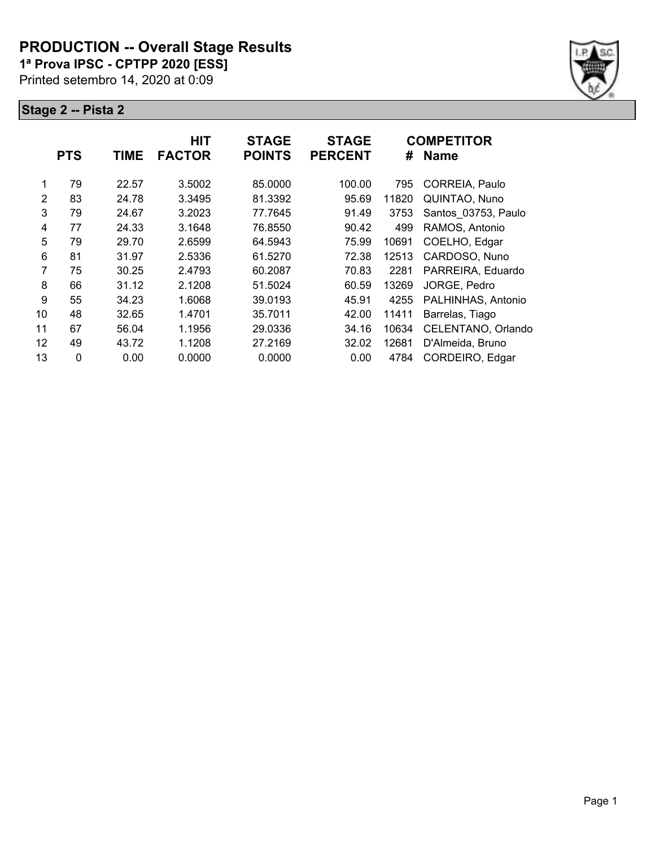#### **PRODUCTION -- Overall Stage Results**

**1ª Prova IPSC - CPTPP 2020 [ESS]**

Printed setembro 14, 2020 at 0:09



|    | <b>PTS</b> | <b>TIME</b> | <b>HIT</b><br><b>FACTOR</b> | <b>STAGE</b><br><b>POINTS</b> | <b>STAGE</b><br><b>PERCENT</b> | #     | <b>COMPETITOR</b><br><b>Name</b> |
|----|------------|-------------|-----------------------------|-------------------------------|--------------------------------|-------|----------------------------------|
| 1  | 79         | 22.57       | 3.5002                      | 85.0000                       | 100.00                         | 795   | CORREIA, Paulo                   |
| 2  | 83         | 24.78       | 3.3495                      | 81.3392                       | 95.69                          | 11820 | QUINTAO, Nuno                    |
| 3  | 79         | 24.67       | 3.2023                      | 77.7645                       | 91.49                          | 3753  | Santos 03753, Paulo              |
| 4  | 77         | 24.33       | 3.1648                      | 76.8550                       | 90.42                          | 499   | RAMOS, Antonio                   |
| 5  | 79         | 29.70       | 2.6599                      | 64.5943                       | 75.99                          | 10691 | COELHO, Edgar                    |
| 6  | 81         | 31.97       | 2.5336                      | 61.5270                       | 72.38                          | 12513 | CARDOSO, Nuno                    |
| 7  | 75         | 30.25       | 2.4793                      | 60.2087                       | 70.83                          | 2281  | PARREIRA, Eduardo                |
| 8  | 66         | 31.12       | 2.1208                      | 51.5024                       | 60.59                          | 13269 | JORGE, Pedro                     |
| 9  | 55         | 34.23       | 1.6068                      | 39.0193                       | 45.91                          | 4255  | PALHINHAS, Antonio               |
| 10 | 48         | 32.65       | 1.4701                      | 35.7011                       | 42.00                          | 11411 | Barrelas, Tiago                  |
| 11 | 67         | 56.04       | 1.1956                      | 29.0336                       | 34.16                          | 10634 | CELENTANO, Orlando               |
| 12 | 49         | 43.72       | 1.1208                      | 27.2169                       | 32.02                          | 12681 | D'Almeida, Bruno                 |
| 13 | $\Omega$   | 0.00        | 0.0000                      | 0.0000                        | 0.00                           | 4784  | CORDEIRO, Edgar                  |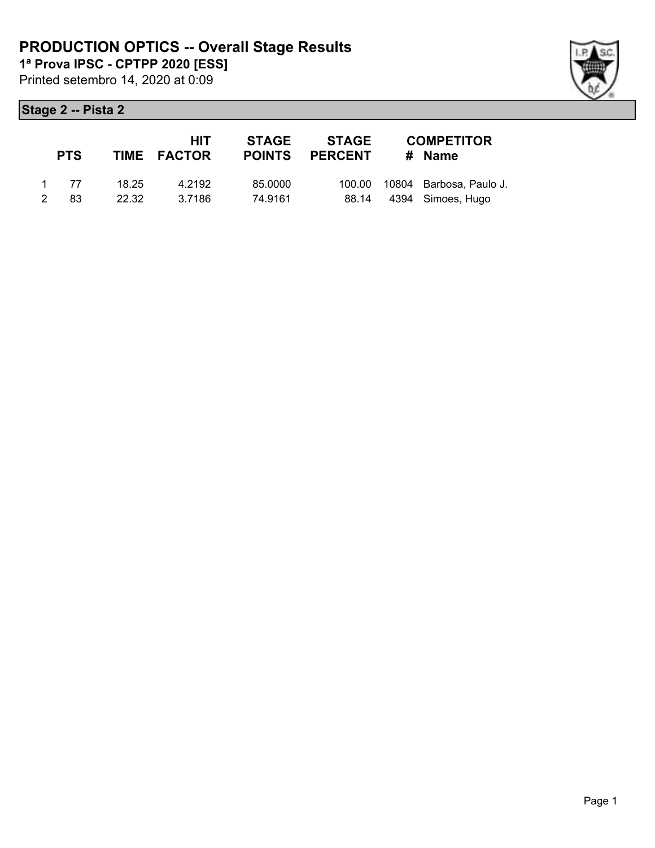Printed setembro 14, 2020 at 0:09 **1ª Prova IPSC - CPTPP 2020 [ESS]**

|   | <b>PTS</b> |       | <b>HIT</b><br>TIME FACTOR | <b>STAGE</b><br><b>POINTS</b> | STAGE<br><b>PERCENT</b> | <b>COMPETITOR</b><br># Name    |
|---|------------|-------|---------------------------|-------------------------------|-------------------------|--------------------------------|
|   | 1 77       | 18.25 | 4.2192                    | 85,0000                       |                         | 100.00 10804 Barbosa, Paulo J. |
| 2 | 83.        | 22.32 | 3.7186                    | 74.9161                       |                         | 88.14 4394 Simoes, Hugo        |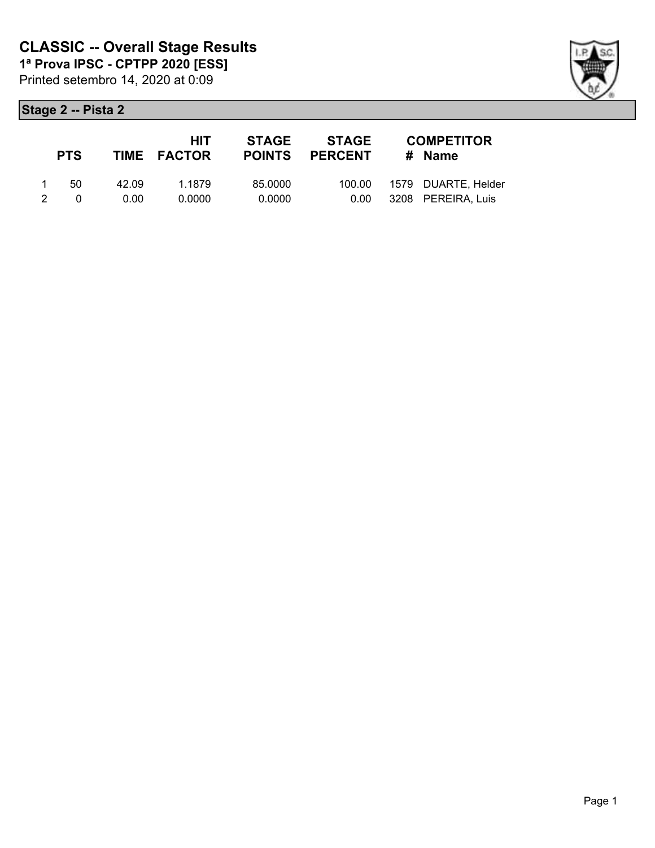| <b>PTS</b> |       | <b>HIT</b><br>TIME FACTOR | STAGE   | <b>STAGE</b><br>POINTS PERCENT | <b>COMPETITOR</b><br># Name |
|------------|-------|---------------------------|---------|--------------------------------|-----------------------------|
| 50.        | 42.09 | 1.1879                    | 85.0000 | 100.00                         | 1579 DUARTE, Helder         |
| $\Omega$   | 0.00  | 0.0000                    | 0.0000  | 0.00                           | 3208 PEREIRA, Luis          |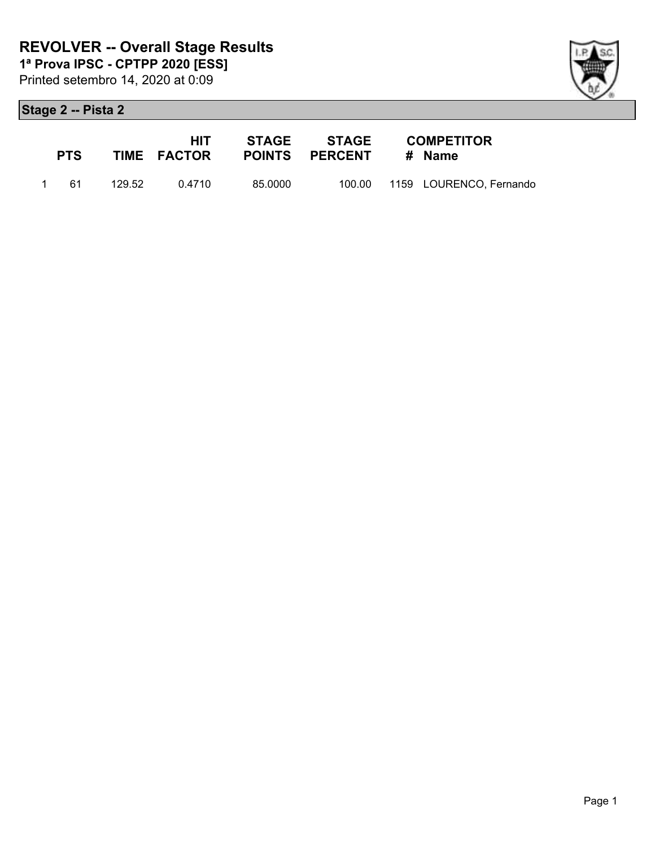



| <b>PTS</b> |        | HIT.<br><b>TIME FACTOR</b> | STAGE   | STAGE<br>POINTS PERCENT # Name | <b>COMPETITOR</b>              |
|------------|--------|----------------------------|---------|--------------------------------|--------------------------------|
| 1 61       | 129.52 | በ 4710                     | 85.0000 |                                | 100.00 1159 LOURENCO, Fernando |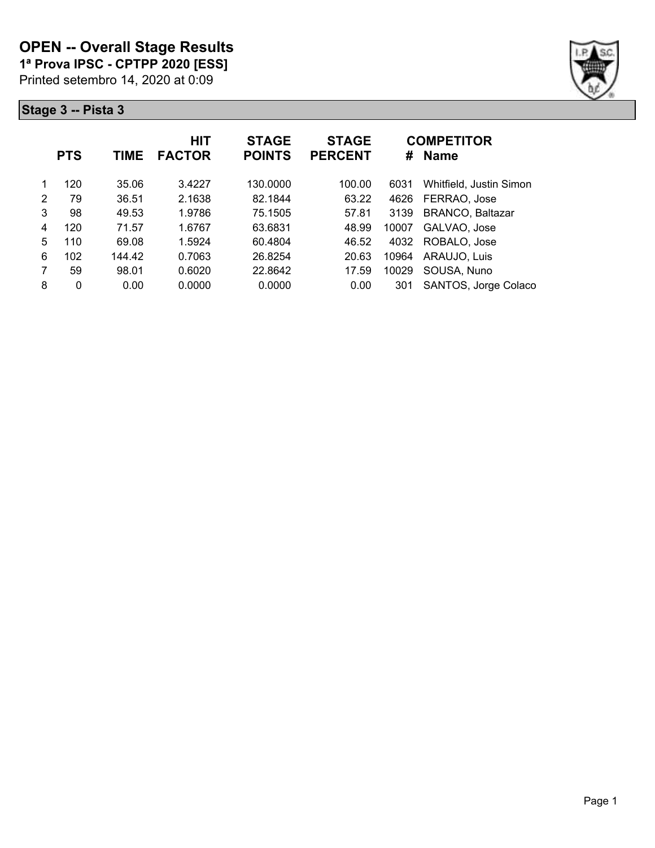**1ª Prova IPSC - CPTPP 2020 [ESS]**

Printed setembro 14, 2020 at 0:09



|   | <b>PTS</b> | TIME   | <b>HIT</b><br><b>FACTOR</b> | <b>STAGE</b><br><b>POINTS</b> | <b>STAGE</b><br><b>PERCENT</b> | #     | <b>COMPETITOR</b><br><b>Name</b> |
|---|------------|--------|-----------------------------|-------------------------------|--------------------------------|-------|----------------------------------|
|   | 120        | 35.06  | 3.4227                      | 130.0000                      | 100.00                         | 6031  | Whitfield, Justin Simon          |
| 2 | 79         | 36.51  | 2.1638                      | 82.1844                       | 63.22                          | 4626  | FERRAO, Jose                     |
| 3 | 98         | 49.53  | 1.9786                      | 75.1505                       | 57.81                          | 3139  | <b>BRANCO, Baltazar</b>          |
| 4 | 120        | 71.57  | 1.6767                      | 63.6831                       | 48.99                          | 10007 | GALVAO, Jose                     |
| 5 | 110        | 69.08  | 1.5924                      | 60.4804                       | 46.52                          | 4032  | ROBALO, Jose                     |
| 6 | 102        | 144.42 | 0.7063                      | 26.8254                       | 20.63                          | 10964 | ARAUJO, Luis                     |
| 7 | 59         | 98.01  | 0.6020                      | 22.8642                       | 17.59                          | 10029 | SOUSA, Nuno                      |
| 8 | 0          | 0.00   | 0.0000                      | 0.0000                        | 0.00                           | 301   | SANTOS, Jorge Colaco             |
|   |            |        |                             |                               |                                |       |                                  |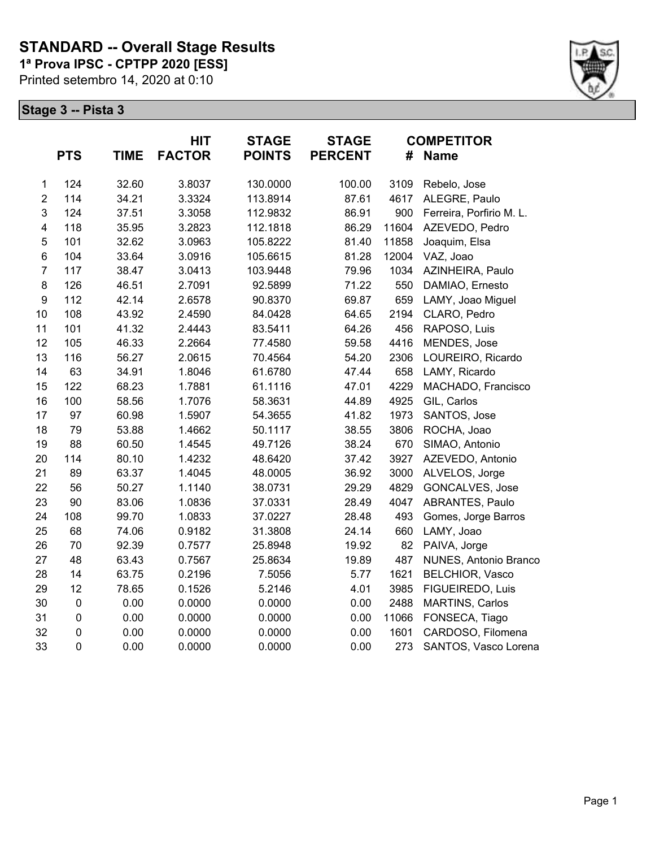## **STANDARD -- Overall Stage Results**

**1ª Prova IPSC - CPTPP 2020 [ESS]**

Printed setembro 14, 2020 at 0:10



|                         | <b>PTS</b> | <b>TIME</b> | <b>HIT</b><br><b>FACTOR</b> | <b>STAGE</b><br><b>POINTS</b> | <b>STAGE</b><br><b>PERCENT</b> | #     | <b>COMPETITOR</b><br><b>Name</b> |
|-------------------------|------------|-------------|-----------------------------|-------------------------------|--------------------------------|-------|----------------------------------|
| $\mathbf{1}$            | 124        | 32.60       | 3.8037                      | 130.0000                      | 100.00                         | 3109  | Rebelo, Jose                     |
| $\overline{2}$          | 114        | 34.21       | 3.3324                      | 113.8914                      | 87.61                          | 4617  | ALEGRE, Paulo                    |
| 3                       | 124        | 37.51       | 3.3058                      | 112.9832                      | 86.91                          | 900   | Ferreira, Porfirio M. L.         |
| $\overline{\mathbf{4}}$ | 118        | 35.95       | 3.2823                      | 112.1818                      | 86.29                          | 11604 | AZEVEDO, Pedro                   |
| 5                       | 101        | 32.62       | 3.0963                      | 105.8222                      | 81.40                          | 11858 | Joaquim, Elsa                    |
| 6                       | 104        | 33.64       | 3.0916                      | 105.6615                      | 81.28                          | 12004 | VAZ, Joao                        |
| $\overline{7}$          | 117        | 38.47       | 3.0413                      | 103.9448                      | 79.96                          | 1034  | AZINHEIRA, Paulo                 |
| 8                       | 126        | 46.51       | 2.7091                      | 92.5899                       | 71.22                          | 550   | DAMIAO, Ernesto                  |
| 9                       | 112        | 42.14       | 2.6578                      | 90.8370                       | 69.87                          | 659   | LAMY, Joao Miguel                |
| 10                      | 108        | 43.92       | 2.4590                      | 84.0428                       | 64.65                          | 2194  | CLARO, Pedro                     |
| 11                      | 101        | 41.32       | 2.4443                      | 83.5411                       | 64.26                          | 456   | RAPOSO, Luis                     |
| 12                      | 105        | 46.33       | 2.2664                      | 77.4580                       | 59.58                          | 4416  | MENDES, Jose                     |
| 13                      | 116        | 56.27       | 2.0615                      | 70.4564                       | 54.20                          | 2306  | LOUREIRO, Ricardo                |
| 14                      | 63         | 34.91       | 1.8046                      | 61.6780                       | 47.44                          | 658   | LAMY, Ricardo                    |
| 15                      | 122        | 68.23       | 1.7881                      | 61.1116                       | 47.01                          | 4229  | MACHADO, Francisco               |
| 16                      | 100        | 58.56       | 1.7076                      | 58.3631                       | 44.89                          | 4925  | GIL, Carlos                      |
| 17                      | 97         | 60.98       | 1.5907                      | 54.3655                       | 41.82                          | 1973  | SANTOS, Jose                     |
| 18                      | 79         | 53.88       | 1.4662                      | 50.1117                       | 38.55                          | 3806  | ROCHA, Joao                      |
| 19                      | 88         | 60.50       | 1.4545                      | 49.7126                       | 38.24                          | 670   | SIMAO, Antonio                   |
| 20                      | 114        | 80.10       | 1.4232                      | 48.6420                       | 37.42                          | 3927  | AZEVEDO, Antonio                 |
| 21                      | 89         | 63.37       | 1.4045                      | 48.0005                       | 36.92                          | 3000  | ALVELOS, Jorge                   |
| 22                      | 56         | 50.27       | 1.1140                      | 38.0731                       | 29.29                          | 4829  | GONCALVES, Jose                  |
| 23                      | 90         | 83.06       | 1.0836                      | 37.0331                       | 28.49                          | 4047  | ABRANTES, Paulo                  |
| 24                      | 108        | 99.70       | 1.0833                      | 37.0227                       | 28.48                          | 493   | Gomes, Jorge Barros              |
| 25                      | 68         | 74.06       | 0.9182                      | 31.3808                       | 24.14                          | 660   | LAMY, Joao                       |
| 26                      | 70         | 92.39       | 0.7577                      | 25.8948                       | 19.92                          | 82    | PAIVA, Jorge                     |
| 27                      | 48         | 63.43       | 0.7567                      | 25.8634                       | 19.89                          | 487   | NUNES, Antonio Branco            |
| 28                      | 14         | 63.75       | 0.2196                      | 7.5056                        | 5.77                           | 1621  | BELCHIOR, Vasco                  |
| 29                      | 12         | 78.65       | 0.1526                      | 5.2146                        | 4.01                           | 3985  | FIGUEIREDO, Luis                 |
| 30                      | $\pmb{0}$  | 0.00        | 0.0000                      | 0.0000                        | 0.00                           | 2488  | <b>MARTINS, Carlos</b>           |
| 31                      | $\pmb{0}$  | 0.00        | 0.0000                      | 0.0000                        | 0.00                           | 11066 | FONSECA, Tiago                   |
| 32                      | $\pmb{0}$  | 0.00        | 0.0000                      | 0.0000                        | 0.00                           | 1601  | CARDOSO, Filomena                |
| 33                      | 0          | 0.00        | 0.0000                      | 0.0000                        | 0.00                           | 273   | SANTOS, Vasco Lorena             |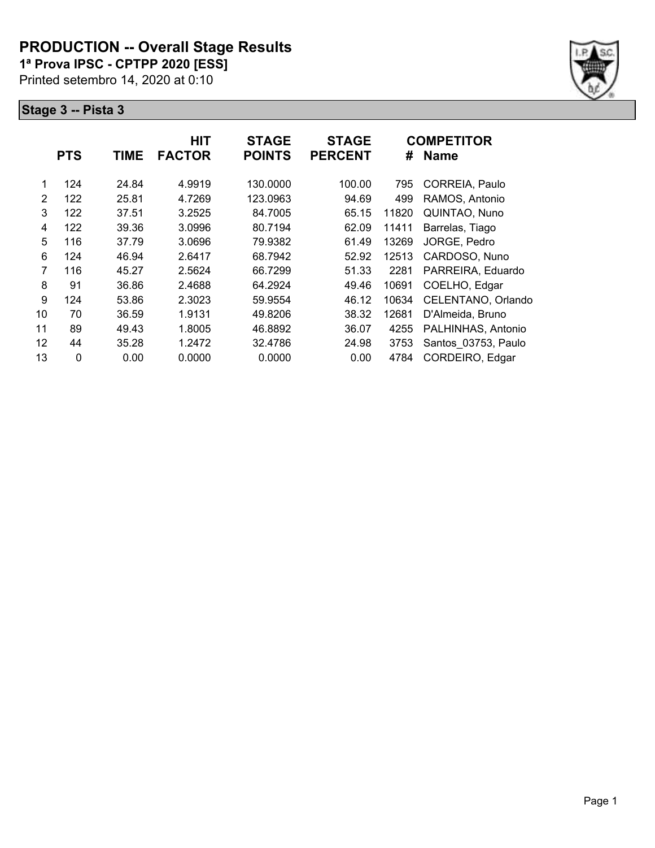## **PRODUCTION -- Overall Stage Results**

**1ª Prova IPSC - CPTPP 2020 [ESS]**

Printed setembro 14, 2020 at 0:10



|              |            | <b>HIT</b>  | <b>STAGE</b>  | <b>STAGE</b>  |                | <b>COMPETITOR</b>   |
|--------------|------------|-------------|---------------|---------------|----------------|---------------------|
|              |            |             |               |               |                | <b>Name</b>         |
| 124          | 24.84      | 4.9919      | 130.0000      | 100.00        | 795            | CORREIA, Paulo      |
| 122          | 25.81      | 4.7269      | 123.0963      | 94.69         | 499            | RAMOS, Antonio      |
| 122          | 37.51      | 3.2525      | 84.7005       | 65.15         | 11820          | QUINTAO, Nuno       |
| 122          | 39.36      | 3.0996      | 80.7194       | 62.09         | 11411          | Barrelas, Tiago     |
| 116          | 37.79      | 3.0696      | 79.9382       | 61.49         | 13269          | JORGE, Pedro        |
| 124          | 46.94      | 2.6417      | 68.7942       | 52.92         | 12513          | CARDOSO, Nuno       |
| 116          | 45.27      | 2.5624      | 66.7299       | 51.33         | 2281           | PARREIRA, Eduardo   |
| 91           | 36.86      | 2.4688      | 64.2924       | 49.46         | 10691          | COELHO, Edgar       |
| 124          | 53.86      | 2.3023      | 59.9554       | 46.12         | 10634          | CELENTANO, Orlando  |
| 70           | 36.59      | 1.9131      | 49.8206       | 38.32         | 12681          | D'Almeida, Bruno    |
| 89           | 49.43      | 1.8005      | 46.8892       | 36.07         | 4255           | PALHINHAS, Antonio  |
| 44           | 35.28      | 1.2472      | 32.4786       | 24.98         | 3753           | Santos 03753, Paulo |
| $\mathbf{0}$ | 0.00       | 0.0000      | 0.0000        | 0.00          | 4784           | CORDEIRO, Edgar     |
|              | <b>PTS</b> | <b>TIME</b> | <b>FACTOR</b> | <b>POINTS</b> | <b>PERCENT</b> | #                   |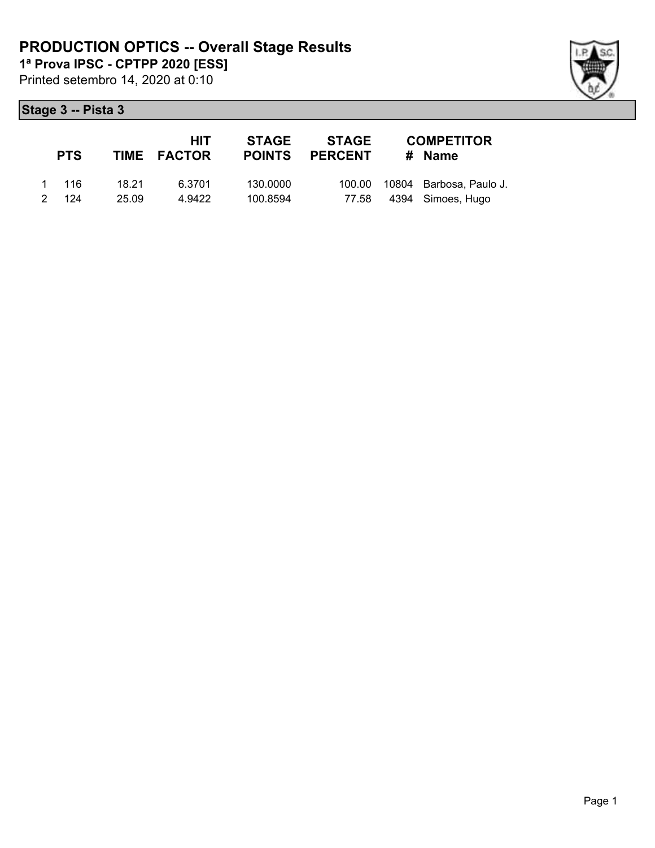Printed setembro 14, 2020 at 0:10

## **Stage 3 -- Pista 3**

|   | <b>PTS</b> |       | HIT<br>TIME FACTOR | <b>STAGE</b><br><b>POINTS</b> | STAGE<br><b>PERCENT</b> | <b>COMPETITOR</b><br># Name    |
|---|------------|-------|--------------------|-------------------------------|-------------------------|--------------------------------|
|   | 1 116      | 18.21 | 6.3701             | 130,0000                      |                         | 100.00 10804 Barbosa, Paulo J. |
| 2 | 124        | 25.09 | 4.9422             | 100.8594                      | 77.58                   | 4394 Simoes, Hugo              |

Page 1

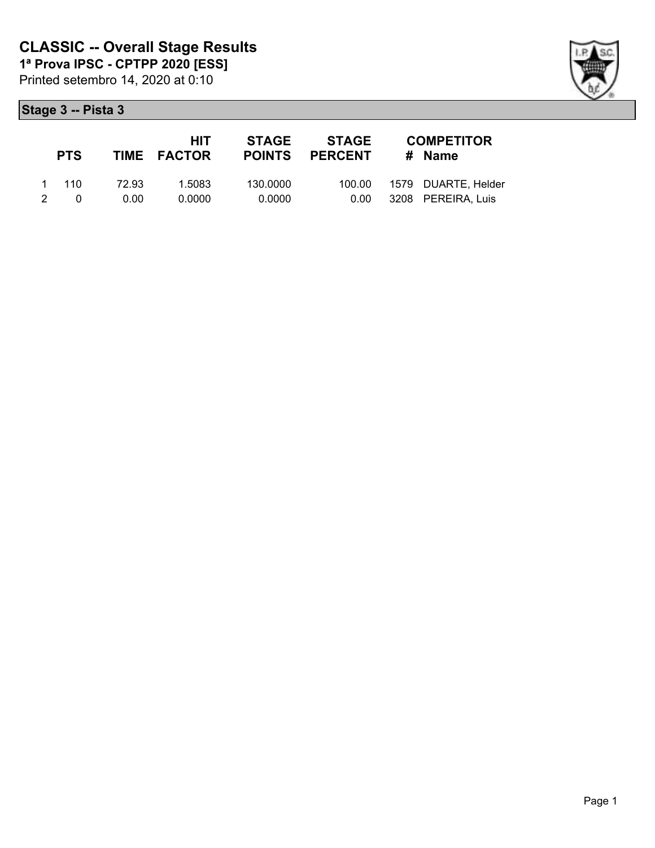|               | <b>PTS</b> |       | HIT.<br>TIME FACTOR | STAGE    | STAGE<br><b>POINTS PERCENT</b> | <b>COMPETITOR</b><br># Name  |
|---------------|------------|-------|---------------------|----------|--------------------------------|------------------------------|
|               | 1 110      | 72.93 | 1.5083              | 130.0000 |                                | 100.00  1579  DUARTE, Helder |
| $\mathcal{P}$ | $\Omega$   | 0.00  | 0.0000              | 0.0000   | 0.00                           | 3208 PEREIRA, Luis           |